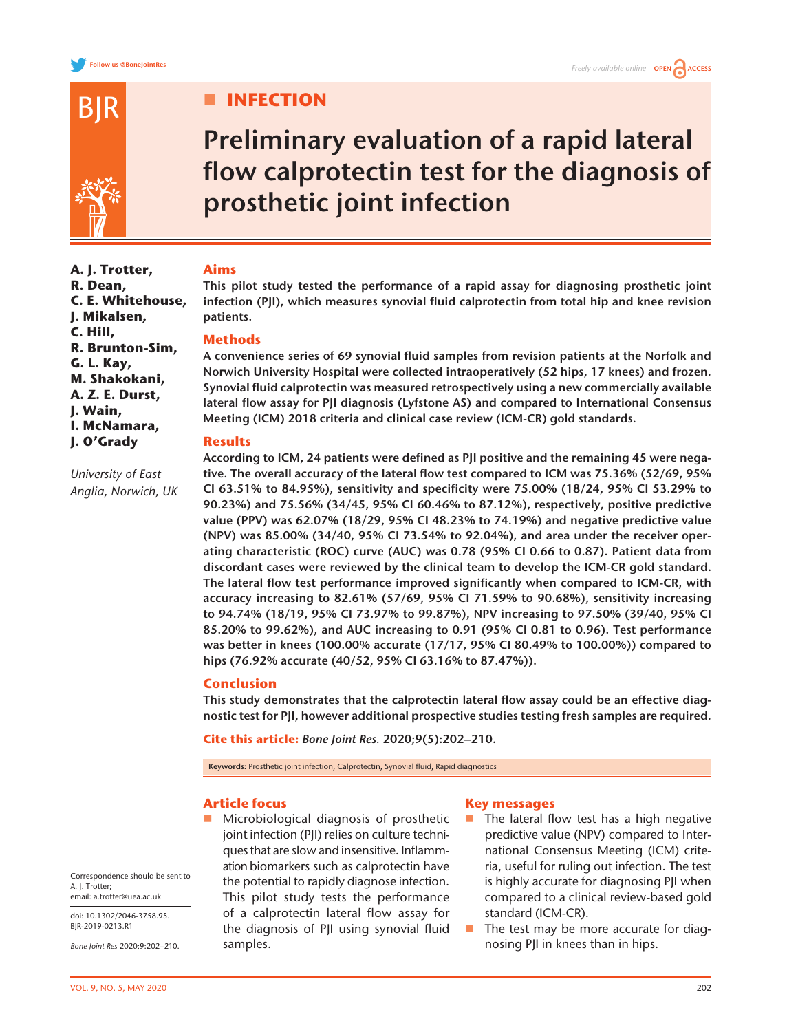

**A. J. Trotter, R. Dean,**

**C. E. Whitehouse, J. Mikalsen, C. Hill,**

**R. Brunton-Sim,**

*University of East Anglia, Norwich, UK*

**G. L. Kay, M. Shakokani, A. Z. E. Durst, J. Wain, I. McNamara, J. O'Grady**

# **III** INFECTION

# **Preliminary evaluation of a rapid lateral flow calprotectin test for the diagnosis of prosthetic joint infection**

# **Aims**

**This pilot study tested the performance of a rapid assay for diagnosing prosthetic joint infection (PJI), which measures synovial fluid calprotectin from total hip and knee revision patients.**

# **Methods**

**A convenience series of 69 synovial fluid samples from revision patients at the Norfolk and Norwich University Hospital were collected intraoperatively (52 hips, 17 knees) and frozen. Synovial fluid calprotectin was measured retrospectively using a new commercially available lateral flow assay for PJI diagnosis (Lyfstone AS) and compared to International Consensus Meeting (ICM) 2018 criteria and clinical case review (ICM-CR) gold standards.**

# **Results**

**According to ICM, 24 patients were defined as PJI positive and the remaining 45 were negative. The overall accuracy of the lateral flow test compared to ICM was 75.36% (52/69, 95% CI 63.51% to 84.95%), sensitivity and specificity were 75.00% (18/24, 95% CI 53.29% to 90.23%) and 75.56% (34/45, 95% CI 60.46% to 87.12%), respectively, positive predictive value (PPV) was 62.07% (18/29, 95% CI 48.23% to 74.19%) and negative predictive value (NPV) was 85.00% (34/40, 95% CI 73.54% to 92.04%), and area under the receiver operating characteristic (ROC) curve (AUC) was 0.78 (95% CI 0.66 to 0.87). Patient data from discordant cases were reviewed by the clinical team to develop the ICM-CR gold standard. The lateral flow test performance improved significantly when compared to ICM-CR, with accuracy increasing to 82.61% (57/69, 95% CI 71.59% to 90.68%), sensitivity increasing to 94.74% (18/19, 95% CI 73.97% to 99.87%), NPV increasing to 97.50% (39/40, 95% CI 85.20% to 99.62%), and AUC increasing to 0.91 (95% CI 0.81 to 0.96). Test performance was better in knees (100.00% accurate (17/17, 95% CI 80.49% to 100.00%)) compared to hips (76.92% accurate (40/52, 95% CI 63.16% to 87.47%)).**

# **Conclusion**

**This study demonstrates that the calprotectin lateral flow assay could be an effective diagnostic test for PJI, however additional prospective studies testing fresh samples are required.**

**Cite this article:** *Bone Joint Res.* **2020;9(5):202–210.**

**Keywords:** Prosthetic joint infection, Calprotectin, Synovial fluid, Rapid diagnostics

# **Article focus**

 Microbiological diagnosis of prosthetic joint infection (PJI) relies on culture techniques that are slow and insensitive. Inflammation biomarkers such as calprotectin have the potential to rapidly diagnose infection. This pilot study tests the performance of a calprotectin lateral flow assay for the diagnosis of PJI using synovial fluid samples.

## **Key messages**

- $\blacksquare$  The lateral flow test has a high negative predictive value (NPV) compared to International Consensus Meeting (ICM) criteria, useful for ruling out infection. The test is highly accurate for diagnosing PJI when compared to a clinical review-based gold standard (ICM-CR).
- $\blacksquare$  The test may be more accurate for diagnosing PJI in knees than in hips.

Correspondence should be sent to A. J. Trotter; email: a.trotter@uea.ac.uk

doi: 10.1302/2046-3758.95. BJR-2019-0213.R1

*Bone Joint Res* 2020;9:202–210.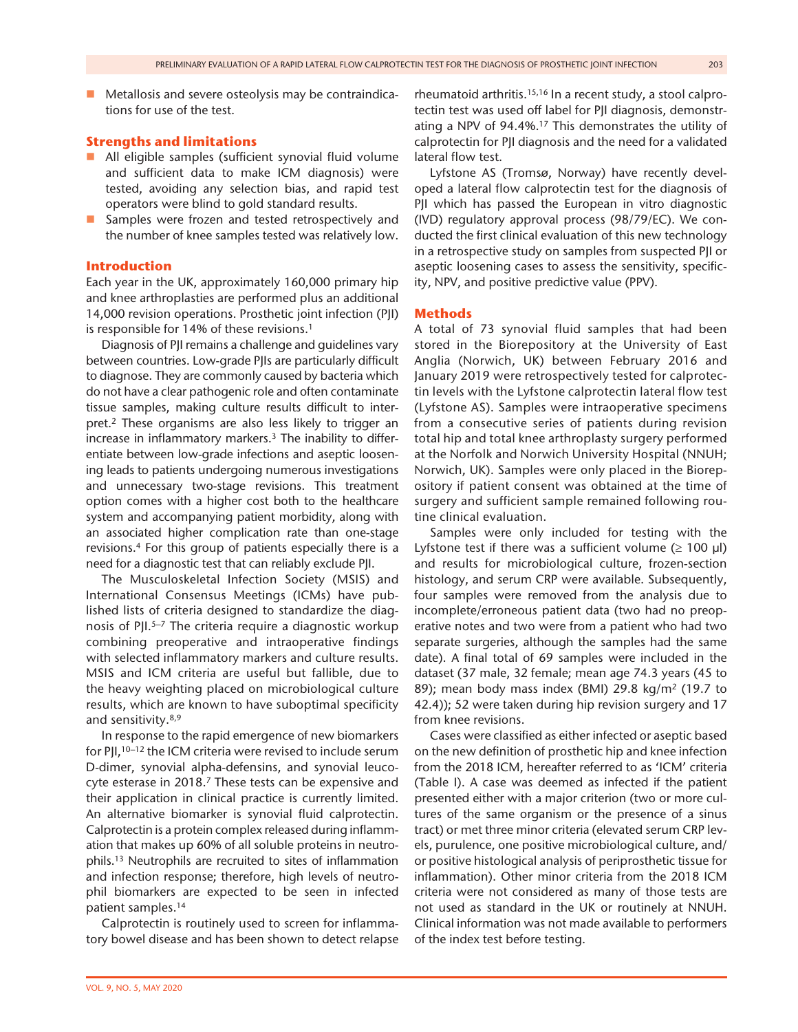$\blacksquare$  Metallosis and severe osteolysis may be contraindications for use of the test.

# **Strengths and limitations**

- All eligible samples (sufficient synovial fluid volume and sufficient data to make ICM diagnosis) were tested, avoiding any selection bias, and rapid test operators were blind to gold standard results.
- Samples were frozen and tested retrospectively and the number of knee samples tested was relatively low.

## **Introduction**

Each year in the UK, approximately 160,000 primary hip and knee arthroplasties are performed plus an additional 14,000 revision operations. Prosthetic joint infection (PJI) is responsible for 14% of these revisions.<sup>1</sup>

Diagnosis of PJI remains a challenge and guidelines vary between countries. Low-grade PJIs are particularly difficult to diagnose. They are commonly caused by bacteria which do not have a clear pathogenic role and often contaminate tissue samples, making culture results difficult to interpret.2 These organisms are also less likely to trigger an increase in inflammatory markers.<sup>3</sup> The inability to differentiate between low-grade infections and aseptic loosening leads to patients undergoing numerous investigations and unnecessary two-stage revisions. This treatment option comes with a higher cost both to the healthcare system and accompanying patient morbidity, along with an associated higher complication rate than one-stage revisions.4 For this group of patients especially there is a need for a diagnostic test that can reliably exclude PJI.

The Musculoskeletal Infection Society (MSIS) and International Consensus Meetings (ICMs) have published lists of criteria designed to standardize the diagnosis of PJI.<sup>5–7</sup> The criteria require a diagnostic workup combining preoperative and intraoperative findings with selected inflammatory markers and culture results. MSIS and ICM criteria are useful but fallible, due to the heavy weighting placed on microbiological culture results, which are known to have suboptimal specificity and sensitivity.8,9

In response to the rapid emergence of new biomarkers for PJI,<sup>10–12</sup> the ICM criteria were revised to include serum D-dimer, synovial alpha-defensins, and synovial leucocyte esterase in 2018.<sup>7</sup> These tests can be expensive and their application in clinical practice is currently limited. An alternative biomarker is synovial fluid calprotectin. Calprotectin is a protein complex released during inflammation that makes up 60% of all soluble proteins in neutrophils.13 Neutrophils are recruited to sites of inflammation and infection response; therefore, high levels of neutrophil biomarkers are expected to be seen in infected patient samples.14

Calprotectin is routinely used to screen for inflammatory bowel disease and has been shown to detect relapse rheumatoid arthritis.15,16 In a recent study, a stool calprotectin test was used off label for PJI diagnosis, demonstrating a NPV of 94.4%.<sup>17</sup> This demonstrates the utility of calprotectin for PJI diagnosis and the need for a validated lateral flow test.

Lyfstone AS (Tromsø, Norway) have recently developed a lateral flow calprotectin test for the diagnosis of PJI which has passed the European in vitro diagnostic (IVD) regulatory approval process (98/79/EC). We conducted the first clinical evaluation of this new technology in a retrospective study on samples from suspected PJI or aseptic loosening cases to assess the sensitivity, specificity, NPV, and positive predictive value (PPV).

## **Methods**

A total of 73 synovial fluid samples that had been stored in the Biorepository at the University of East Anglia (Norwich, UK) between February 2016 and January 2019 were retrospectively tested for calprotectin levels with the Lyfstone calprotectin lateral flow test (Lyfstone AS). Samples were intraoperative specimens from a consecutive series of patients during revision total hip and total knee arthroplasty surgery performed at the Norfolk and Norwich University Hospital (NNUH; Norwich, UK). Samples were only placed in the Biorepository if patient consent was obtained at the time of surgery and sufficient sample remained following routine clinical evaluation.

Samples were only included for testing with the Lyfstone test if there was a sufficient volume ( $\geq 100$  µl) and results for microbiological culture, frozen-section histology, and serum CRP were available. Subsequently, four samples were removed from the analysis due to incomplete/erroneous patient data (two had no preoperative notes and two were from a patient who had two separate surgeries, although the samples had the same date). A final total of 69 samples were included in the dataset (37 male, 32 female; mean age 74.3 years (45 to 89); mean body mass index (BMI) 29.8 kg/m<sup>2</sup> (19.7 to 42.4)); 52 were taken during hip revision surgery and 17 from knee revisions.

Cases were classified as either infected or aseptic based on the new definition of prosthetic hip and knee infection from the 2018 ICM, hereafter referred to as 'ICM' criteria (Table I). A case was deemed as infected if the patient presented either with a major criterion (two or more cultures of the same organism or the presence of a sinus tract) or met three minor criteria (elevated serum CRP levels, purulence, one positive microbiological culture, and/ or positive histological analysis of periprosthetic tissue for inflammation). Other minor criteria from the 2018 ICM criteria were not considered as many of those tests are not used as standard in the UK or routinely at NNUH. Clinical information was not made available to performers of the index test before testing.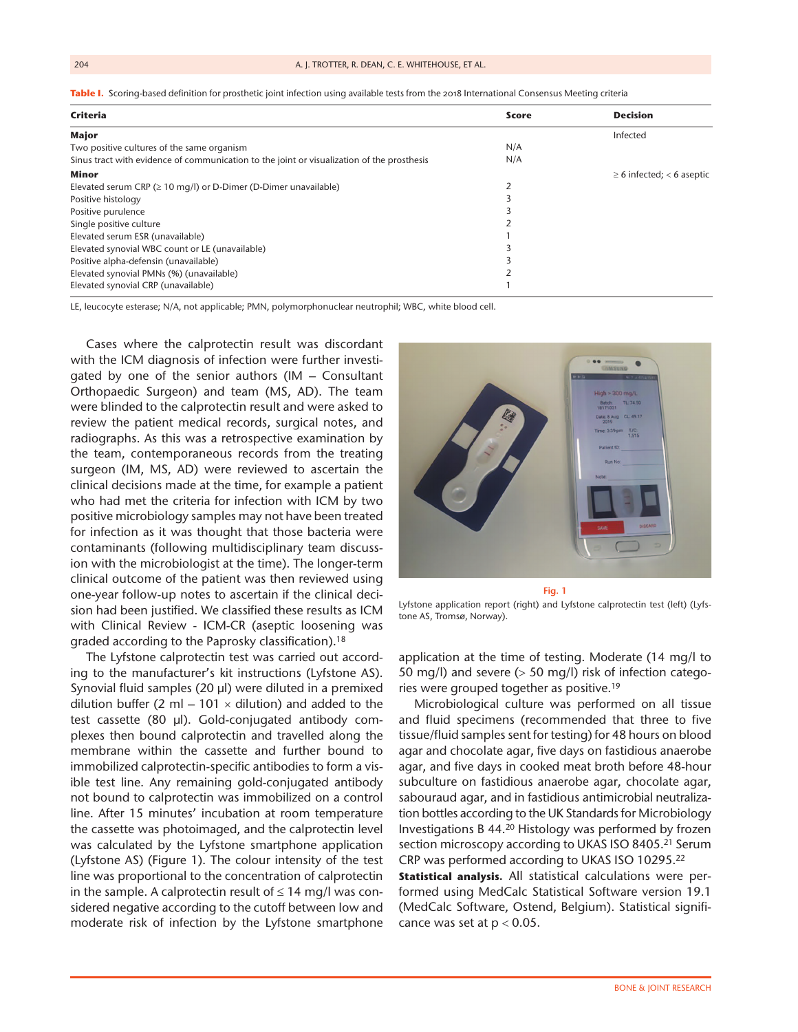|  |  | Table I. Scoring-based definition for prosthetic ioint infection using available tests from the 2018 International Consensus Meeting criteria |  |
|--|--|-----------------------------------------------------------------------------------------------------------------------------------------------|--|
|  |  |                                                                                                                                               |  |

| Criteria                                                                                   | <b>Score</b> | <b>Decision</b>                |
|--------------------------------------------------------------------------------------------|--------------|--------------------------------|
| Major                                                                                      |              | Infected                       |
| Two positive cultures of the same organism                                                 | N/A          |                                |
| Sinus tract with evidence of communication to the joint or visualization of the prosthesis | N/A          |                                |
| <b>Minor</b>                                                                               |              | $\geq$ 6 infected; < 6 aseptic |
| Elevated serum CRP ( $\geq$ 10 mg/l) or D-Dimer (D-Dimer unavailable)                      |              |                                |
| Positive histology                                                                         |              |                                |
| Positive purulence                                                                         |              |                                |
| Single positive culture                                                                    |              |                                |
| Elevated serum ESR (unavailable)                                                           |              |                                |
| Elevated synovial WBC count or LE (unavailable)                                            |              |                                |
| Positive alpha-defensin (unavailable)                                                      |              |                                |
| Elevated synovial PMNs (%) (unavailable)                                                   |              |                                |
| Elevated synovial CRP (unavailable)                                                        |              |                                |

LE, leucocyte esterase; N/A, not applicable; PMN, polymorphonuclear neutrophil; WBC, white blood cell.

Cases where the calprotectin result was discordant with the ICM diagnosis of infection were further investigated by one of the senior authors (IM – Consultant Orthopaedic Surgeon) and team (MS, AD). The team were blinded to the calprotectin result and were asked to review the patient medical records, surgical notes, and radiographs. As this was a retrospective examination by the team, contemporaneous records from the treating surgeon (IM, MS, AD) were reviewed to ascertain the clinical decisions made at the time, for example a patient who had met the criteria for infection with ICM by two positive microbiology samples may not have been treated for infection as it was thought that those bacteria were contaminants (following multidisciplinary team discussion with the microbiologist at the time). The longer-term clinical outcome of the patient was then reviewed using one-year follow-up notes to ascertain if the clinical decision had been justified. We classified these results as ICM with Clinical Review - ICM-CR (aseptic loosening was graded according to the Paprosky classification).18

The Lyfstone calprotectin test was carried out according to the manufacturer's kit instructions (Lyfstone AS). Synovial fluid samples (20 µl) were diluted in a premixed dilution buffer (2 ml  $-$  101  $\times$  dilution) and added to the test cassette (80 µl). Gold-conjugated antibody complexes then bound calprotectin and travelled along the membrane within the cassette and further bound to immobilized calprotectin-specific antibodies to form a visible test line. Any remaining gold-conjugated antibody not bound to calprotectin was immobilized on a control line. After 15 minutes' incubation at room temperature the cassette was photoimaged, and the calprotectin level was calculated by the Lyfstone smartphone application (Lyfstone AS) (Figure 1). The colour intensity of the test line was proportional to the concentration of calprotectin in the sample. A calprotectin result of  $\leq$  14 mg/l was considered negative according to the cutoff between low and moderate risk of infection by the Lyfstone smartphone



**Fig. 1**

Lyfstone application report (right) and Lyfstone calprotectin test (left) (Lyfstone AS, Tromsø, Norway).

application at the time of testing. Moderate (14 mg/l to 50 mg/l) and severe (> 50 mg/l) risk of infection categories were grouped together as positive.19

Microbiological culture was performed on all tissue and fluid specimens (recommended that three to five tissue/fluid samples sent for testing) for 48 hours on blood agar and chocolate agar, five days on fastidious anaerobe agar, and five days in cooked meat broth before 48-hour subculture on fastidious anaerobe agar, chocolate agar, sabouraud agar, and in fastidious antimicrobial neutralization bottles according to the UK Standards for Microbiology Investigations B 44.20 Histology was performed by frozen section microscopy according to UKAS ISO 8405.<sup>21</sup> Serum CRP was performed according to UKAS ISO 10295.22 **Statistical analysis.** All statistical calculations were performed using MedCalc Statistical Software version 19.1 (MedCalc Software, Ostend, Belgium). Statistical significance was set at  $p < 0.05$ .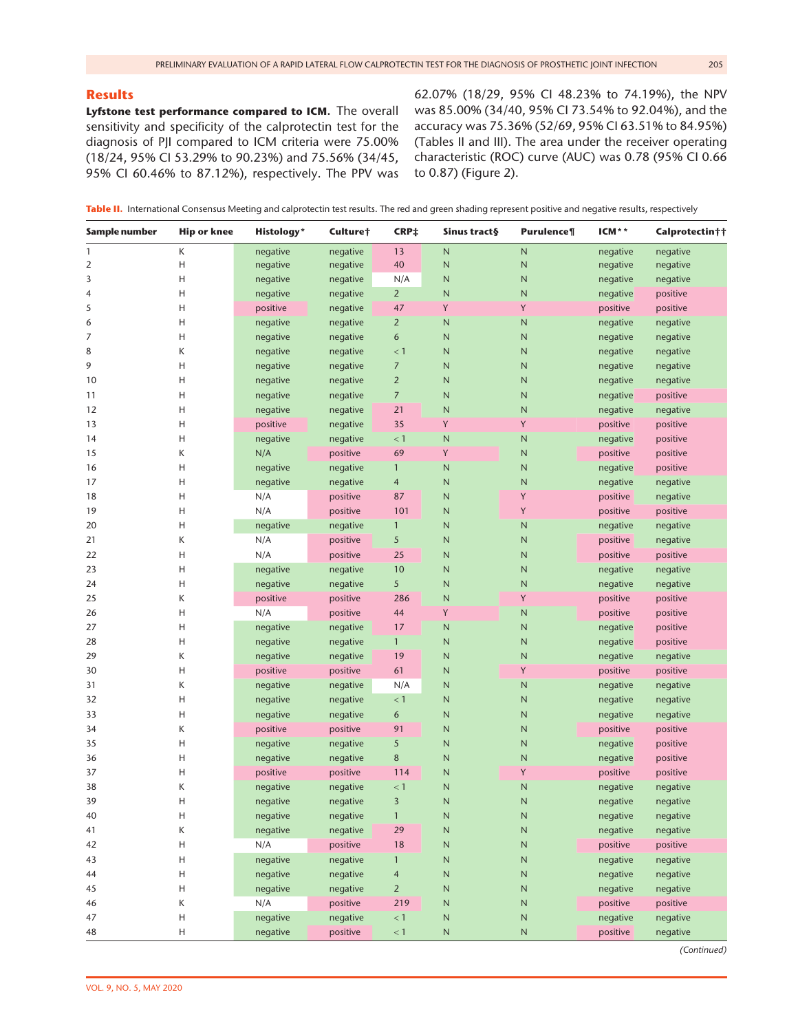# **Results**

**Lyfstone test performance compared to ICM.** The overall sensitivity and specificity of the calprotectin test for the diagnosis of PJI compared to ICM criteria were 75.00% (18/24, 95% CI 53.29% to 90.23%) and 75.56% (34/45, 95% CI 60.46% to 87.12%), respectively. The PPV was

62.07% (18/29, 95% CI 48.23% to 74.19%), the NPV was 85.00% (34/40, 95% CI 73.54% to 92.04%), and the accuracy was 75.36% (52/69, 95% CI 63.51% to 84.95%) (Tables II and III). The area under the receiver operating characteristic (ROC) curve (AUC) was 0.78 (95% CI 0.66 to 0.87) (Figure 2).

**Table II.** International Consensus Meeting and calprotectin test results. The red and green shading represent positive and negative results, respectively

| Sample number  | <b>Hip or knee</b> | <b>Histology*</b> | Culture† | CRP‡           | Sinus tract§ | Purulence¶   | ICM**    | Calprotectin†† |
|----------------|--------------------|-------------------|----------|----------------|--------------|--------------|----------|----------------|
| 1              | К                  | negative          | negative | 13             | N            | N            | negative | negative       |
| $\overline{2}$ | н                  | negative          | negative | 40             | N            | $\mathsf{N}$ | negative | negative       |
| 3              | Η                  | negative          | negative | N/A            | N            | N            | negative | negative       |
| 4              | н                  | negative          | negative | $\overline{2}$ | N            | N            | negative | positive       |
| 5              | H                  | positive          | negative | 47             | Y            | Y            | positive | positive       |
| 6              | H                  | negative          | negative | $\overline{2}$ | N            | ${\sf N}$    | negative | negative       |
| 7              | н                  | negative          | negative | 6              | N            | $\mathsf{N}$ | negative | negative       |
| 8              | К                  | negative          | negative | $<$ 1          | N            | $\mathsf{N}$ | negative | negative       |
| 9              | н                  | negative          | negative | $\overline{7}$ | N            | N            | negative | negative       |
| 10             | Η                  | negative          | negative | $\overline{2}$ | N            | N            | negative | negative       |
| 11             | Η                  | negative          | negative | 7              | N            | N            | negative | positive       |
| 12             | Η                  | negative          | negative | 21             | N            | ${\sf N}$    | negative | negative       |
| 13             | Η                  | positive          | negative | 35             | Υ            | Υ            | positive | positive       |
| 14             | н                  | negative          | negative | < 1            | N            | N            | negative | positive       |
| 15             | К                  | N/A               | positive | 69             | Υ            | $\mathsf{N}$ | positive | positive       |
| 16             | н                  | negative          | negative | $\mathbf{1}$   | N            | ${\sf N}$    | negative | positive       |
| 17             | Η                  | negative          | negative | 4              | N            | N            | negative | negative       |
| 18             | н                  | N/A               | positive | 87             | N            | Y            | positive | negative       |
| 19             | H                  | N/A               | positive | 101            | N            | Y            | positive | positive       |
| 20             | H                  | negative          | negative | $\mathbf{1}$   | N            | ${\sf N}$    | negative | negative       |
| 21             | К                  | N/A               | positive | 5              | N            | $\mathsf{N}$ | positive | negative       |
| 22             | Η                  | N/A               | positive | 25             | N            | $\mathsf{N}$ | positive | positive       |
| 23             | Η                  | negative          | negative | 10             | N            | N            | negative | negative       |
| 24             | Η                  | negative          | negative | 5              | N            | $\mathsf N$  | negative | negative       |
| 25             | К                  | positive          | positive | 286            | N            | Y            | positive | positive       |
| 26             | H                  | N/A               | positive | 44             | Y            | ${\sf N}$    | positive | positive       |
| 27             | H                  | negative          | negative | 17             | N            | $\mathsf N$  | negative | positive       |
| 28             | н                  | negative          | negative | $\mathbf{1}$   | N            | $\mathsf{N}$ | negative | positive       |
| 29             | К                  | negative          | negative | 19             | N            | $\mathsf{N}$ | negative | negative       |
| 30             | н                  | positive          | positive | 61             | N            | Y            | positive | positive       |
| 31             | К                  | negative          | negative | N/A            | N            | N            | negative | negative       |
| 32             | н                  | negative          | negative | < 1            | N            | ${\sf N}$    | negative | negative       |
| 33             | Η                  | negative          | negative | 6              | N            | N            | negative | negative       |
| 34             | Κ                  | positive          | positive | 91             | N            | $\mathsf N$  | positive | positive       |
| 35             | Η                  | negative          | negative | 5              | N            | $\mathsf{N}$ | negative | positive       |
| 36             | Η                  | negative          | negative | 8              | N            | N            | negative | positive       |
| 37             | Η                  | positive          | positive | 114            | N            | Υ            | positive | positive       |
| 38             | Κ                  | negative          | negative | < 1            | N            | N            | negative | negative       |
| 39             | H                  | negative          | negative | 3              | N            | $\mathsf{N}$ | negative | negative       |
| 40             | Н                  | negative          | negative | $\mathbf{1}$   | ${\sf N}$    | ${\sf N}$    | negative | negative       |
| 41             | Κ                  | negative          | negative | 29             | $\hbox{N}$   | $\hbox{N}$   | negative | negative       |
| 42             | H                  | N/A               | positive | $18\,$         | $\sf N$      | ${\sf N}$    | positive | positive       |
| 43             | H                  | negative          | negative | $\mathbf{1}$   | $\sf N$      | ${\sf N}$    | negative | negative       |
| 44             | Η                  | negative          | negative | $\overline{4}$ | $\sf N$      | ${\sf N}$    | negative | negative       |
| 45             | Η                  | negative          | negative | $\overline{2}$ | N            | ${\sf N}$    | negative | negative       |
| 46             | К                  | N/A               | positive | 219            | $\sf N$      | ${\sf N}$    | positive | positive       |
| 47             | Н                  | negative          | negative | < 1            | N            | N            | negative | negative       |
| 48             | H                  | negative          | positive | $<1\,$         | N            | N            | positive | negative       |

*(Continued)*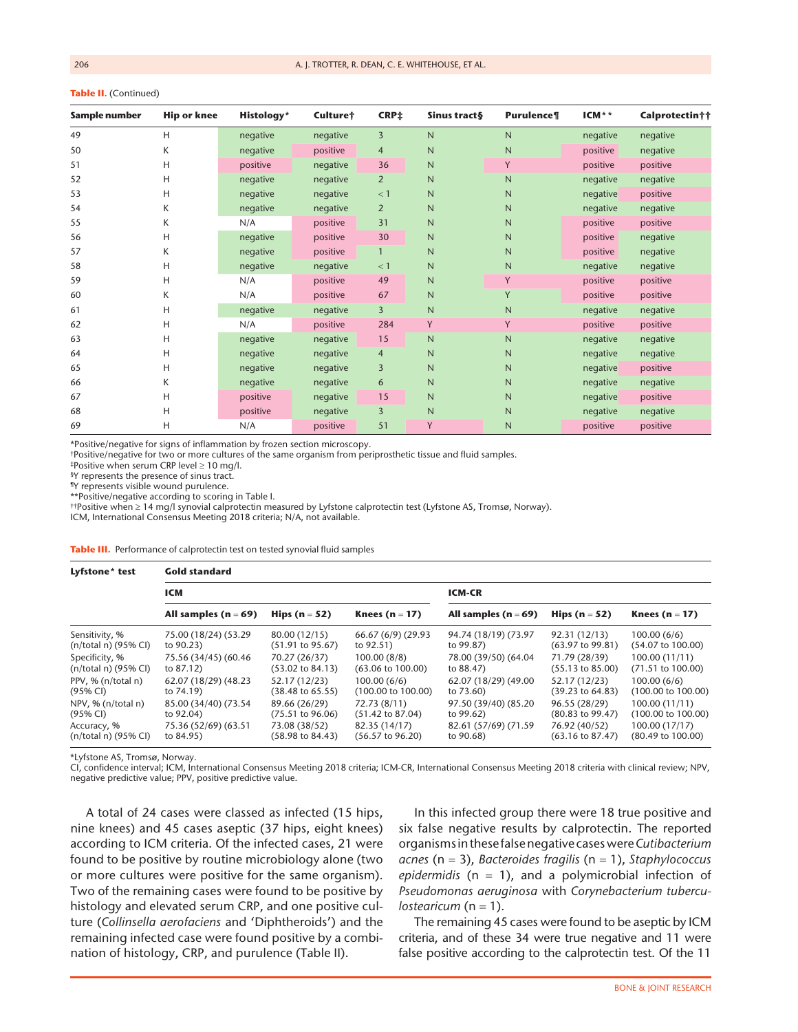|  |  |  | Table II. (Continued) |
|--|--|--|-----------------------|
|--|--|--|-----------------------|

| Sample number | Hip or knee | Histology* | Culture† | CRP <sup>+</sup> | Sinus tract§ | Purulence¶ | $ICM^*$  | Calprotectin†† |
|---------------|-------------|------------|----------|------------------|--------------|------------|----------|----------------|
| 49            | H           | negative   | negative | 3                | N            | N          | negative | negative       |
| 50            | K           | negative   | positive | 4                | N            | N          | positive | negative       |
| 51            | н           | positive   | negative | 36               | N            | Y          | positive | positive       |
| 52            | н           | negative   | negative | $\overline{2}$   | N            | N          | negative | negative       |
| 53            | Н           | negative   | negative | $<$ 1            | N            | N          | negative | positive       |
| 54            | K           | negative   | negative | $\overline{2}$   | N            | N          | negative | negative       |
| 55            | K           | N/A        | positive | 31               | N            | N          | positive | positive       |
| 56            | H           | negative   | positive | 30               | N            | N          | positive | negative       |
| 57            | K           | negative   | positive | $\mathbf{1}$     | N            | N          | positive | negative       |
| 58            | н           | negative   | negative | $<$ 1            | N            | N          | negative | negative       |
| 59            | н           | N/A        | positive | 49               | N            | Y          | positive | positive       |
| 60            | K           | N/A        | positive | 67               | N            | Y          | positive | positive       |
| 61            | Η           | negative   | negative | 3                | N            | N          | negative | negative       |
| 62            | н           | N/A        | positive | 284              | Y            | Y          | positive | positive       |
| 63            | н           | negative   | negative | 15               | N            | N          | negative | negative       |
| 64            | H           | negative   | negative | $\overline{4}$   | N            | N          | negative | negative       |
| 65            | н           | negative   | negative | 3                | N            | N          | negative | positive       |
| 66            | K           | negative   | negative | 6                | N            | N          | negative | negative       |
| 67            | H           | positive   | negative | 15               | N            | N          | negative | positive       |
| 68            | н           | positive   | negative | 3                | N            | N          | negative | negative       |
| 69            | н           | N/A        | positive | 51               | Y            | N          | positive | positive       |

\*Positive/negative for signs of inflammation by frozen section microscopy.

†Positive/negative for two or more cultures of the same organism from periprosthetic tissue and fluid samples.

‡Positive when serum CRP level ≥ 10 mg/l.

§Y represents the presence of sinus tract.

¶Y represents visible wound purulence.

\*\*Positive/negative according to scoring in Table I.

††Positive when ≥ 14 mg/l synovial calprotectin measured by Lyfstone calprotectin test (Lyfstone AS, Tromsø, Norway).

ICM, International Consensus Meeting 2018 criteria; N/A, not available.

**Table III.** Performance of calprotectin test on tested synovial fluid samples

| Lyfstone* test       | <b>Gold standard</b>     |                             |                               |                          |                             |                               |  |  |  |  |
|----------------------|--------------------------|-----------------------------|-------------------------------|--------------------------|-----------------------------|-------------------------------|--|--|--|--|
|                      | ICM                      |                             |                               | <b>ICM-CR</b>            |                             |                               |  |  |  |  |
|                      | All samples ( $n = 69$ ) | Hips $(n = 52)$             | Knees ( $n = 17$ )            | All samples ( $n = 69$ ) | Hips ( $n = 52$ )           | Knees ( $n = 17$ )            |  |  |  |  |
| Sensitivity, %       | 75.00 (18/24) (53.29     | 80.00 (12/15)               | 66.67 (6/9) (29.93            | 94.74 (18/19) (73.97     | 92.31(12/13)                | 100.00(6/6)                   |  |  |  |  |
| (n/total n) (95% CI) | to 90.23)                | $(51.91 \text{ to } 95.67)$ | to 92.51)                     | to 99.87)                | $(63.97 \text{ to } 99.81)$ | $(54.07 \text{ to } 100.00)$  |  |  |  |  |
| Specificity, %       | 75.56 (34/45) (60.46     | 70.27 (26/37)               | 100.00(8/8)                   | 78.00 (39/50) (64.04     | 71.79 (28/39)               | 100.00 (11/11)                |  |  |  |  |
| (n/total n) (95% CI) | to 87.12)                | $(53.02 \text{ to } 84.13)$ | $(63.06 \text{ to } 100.00)$  | to 88.47)                | $(55.13 \text{ to } 85.00)$ | $(71.51 \text{ to } 100.00)$  |  |  |  |  |
| PPV, % (n/total n)   | 62.07 (18/29) (48.23     | 52.17 (12/23)               | 100.00(6/6)                   | 62.07 (18/29) (49.00     | 52.17 (12/23)               | 100.00(6/6)                   |  |  |  |  |
| $(95% \text{ Cl})$   | to 74.19)                | $(38.48 \text{ to } 65.55)$ | $(100.00 \text{ to } 100.00)$ | to 73.60)                | $(39.23 \text{ to } 64.83)$ | $(100.00 \text{ to } 100.00)$ |  |  |  |  |
| NPV, % (n/total n)   | 85.00 (34/40) (73.54     | 89.66 (26/29)               | 72.73 (8/11)                  | 97.50 (39/40) (85.20     | 96.55 (28/29)               | 100.00 (11/11)                |  |  |  |  |
| (95% CI)             | to 92.04)                | $(75.51 \text{ to } 96.06)$ | $(51.42 \text{ to } 87.04)$   | to 99.62)                | $(80.83 \text{ to } 99.47)$ | $(100.00 \text{ to } 100.00)$ |  |  |  |  |
| Accuracy, %          | 75.36 (52/69) (63.51     | 73.08 (38/52)               | 82.35 (14/17)                 | 82.61 (57/69) (71.59     | 76.92 (40/52)               | 100.00 (17/17)                |  |  |  |  |
| (n/total n) (95% CI) | to 84.95)                | $(58.98 \text{ to } 84.43)$ | $(56.57 \text{ to } 96.20)$   | to 90.68)                | $(63.16 \text{ to } 87.47)$ | $(80.49 \text{ to } 100.00)$  |  |  |  |  |

\*Lyfstone AS, Tromsø, Norway.

CI, confidence interval; ICM, International Consensus Meeting 2018 criteria; ICM-CR, International Consensus Meeting 2018 criteria with clinical review; NPV, negative predictive value; PPV, positive predictive value.

A total of 24 cases were classed as infected (15 hips, nine knees) and 45 cases aseptic (37 hips, eight knees) according to ICM criteria. Of the infected cases, 21 were found to be positive by routine microbiology alone (two or more cultures were positive for the same organism). Two of the remaining cases were found to be positive by histology and elevated serum CRP, and one positive culture (*Collinsella aerofaciens* and 'Diphtheroids') and the remaining infected case were found positive by a combination of histology, CRP, and purulence (Table II).

In this infected group there were 18 true positive and six false negative results by calprotectin. The reported organisms in these false negative cases were *Cutibacterium acnes* (n = 3), *Bacteroides fragilis* (n = 1), *Staphylococcus epidermidis* (n = 1), and a polymicrobial infection of *Pseudomonas aeruginosa* with *Corynebacterium tuberculostearicum* (n = 1).

The remaining 45 cases were found to be aseptic by ICM criteria, and of these 34 were true negative and 11 were false positive according to the calprotectin test. Of the 11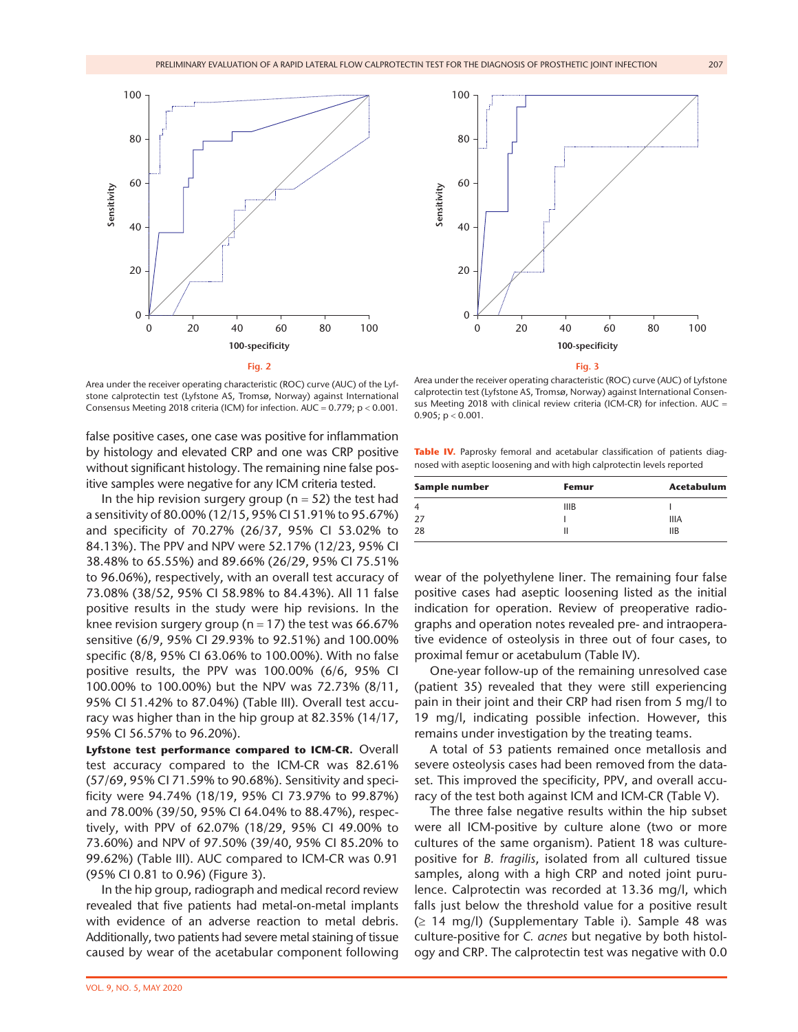

Area under the receiver operating characteristic (ROC) curve (AUC) of the Lyfstone calprotectin test (Lyfstone AS, Tromsø, Norway) against International Consensus Meeting 2018 criteria (ICM) for infection. AUC = 0.779; p < 0.001.

false positive cases, one case was positive for inflammation by histology and elevated CRP and one was CRP positive without significant histology. The remaining nine false positive samples were negative for any ICM criteria tested.

In the hip revision surgery group ( $n = 52$ ) the test had a sensitivity of 80.00% (12/15, 95% CI 51.91% to 95.67%) and specificity of 70.27% (26/37, 95% CI 53.02% to 84.13%). The PPV and NPV were 52.17% (12/23, 95% CI 38.48% to 65.55%) and 89.66% (26/29, 95% CI 75.51% to 96.06%), respectively, with an overall test accuracy of 73.08% (38/52, 95% CI 58.98% to 84.43%). All 11 false positive results in the study were hip revisions. In the knee revision surgery group ( $n = 17$ ) the test was 66.67% sensitive (6/9, 95% CI 29.93% to 92.51%) and 100.00% specific (8/8, 95% CI 63.06% to 100.00%). With no false positive results, the PPV was 100.00% (6/6, 95% CI 100.00% to 100.00%) but the NPV was 72.73% (8/11, 95% CI 51.42% to 87.04%) (Table III). Overall test accuracy was higher than in the hip group at 82.35% (14/17, 95% CI 56.57% to 96.20%).

**Lyfstone test performance compared to ICM-CR.** Overall test accuracy compared to the ICM-CR was 82.61% (57/69, 95% CI 71.59% to 90.68%). Sensitivity and specificity were 94.74% (18/19, 95% CI 73.97% to 99.87%) and 78.00% (39/50, 95% CI 64.04% to 88.47%), respectively, with PPV of 62.07% (18/29, 95% CI 49.00% to 73.60%) and NPV of 97.50% (39/40, 95% CI 85.20% to 99.62%) (Table III). AUC compared to ICM-CR was 0.91 (95% CI 0.81 to 0.96) (Figure 3).

In the hip group, radiograph and medical record review revealed that five patients had metal-on-metal implants with evidence of an adverse reaction to metal debris. Additionally, two patients had severe metal staining of tissue caused by wear of the acetabular component following



Area under the receiver operating characteristic (ROC) curve (AUC) of Lyfstone calprotectin test (Lyfstone AS, Tromsø, Norway) against International Consensus Meeting 2018 with clinical review criteria (ICM-CR) for infection. AUC = 0.905;  $p < 0.001$ .

**Table IV.** Paprosky femoral and acetabular classification of patients diagnosed with aseptic loosening and with high calprotectin levels reported

| Sample number  | Femur       | Acetabulum  |  |
|----------------|-------------|-------------|--|
| $\overline{4}$ | <b>IIIB</b> |             |  |
| 27             |             | <b>IIIA</b> |  |
| 28             |             | <b>IIB</b>  |  |

wear of the polyethylene liner. The remaining four false positive cases had aseptic loosening listed as the initial indication for operation. Review of preoperative radiographs and operation notes revealed pre- and intraoperative evidence of osteolysis in three out of four cases, to proximal femur or acetabulum (Table IV).

One-year follow-up of the remaining unresolved case (patient 35) revealed that they were still experiencing pain in their joint and their CRP had risen from 5 mg/l to 19 mg/l, indicating possible infection. However, this remains under investigation by the treating teams.

A total of 53 patients remained once metallosis and severe osteolysis cases had been removed from the dataset. This improved the specificity, PPV, and overall accuracy of the test both against ICM and ICM-CR (Table V).

The three false negative results within the hip subset were all ICM-positive by culture alone (two or more cultures of the same organism). Patient 18 was culturepositive for *B. fragilis*, isolated from all cultured tissue samples, along with a high CRP and noted joint purulence. Calprotectin was recorded at 13.36 mg/l, which falls just below the threshold value for a positive result  $(\geq 14 \text{ mg/l})$  (Supplementary Table i). Sample 48 was culture-positive for *C. acnes* but negative by both histology and CRP. The calprotectin test was negative with 0.0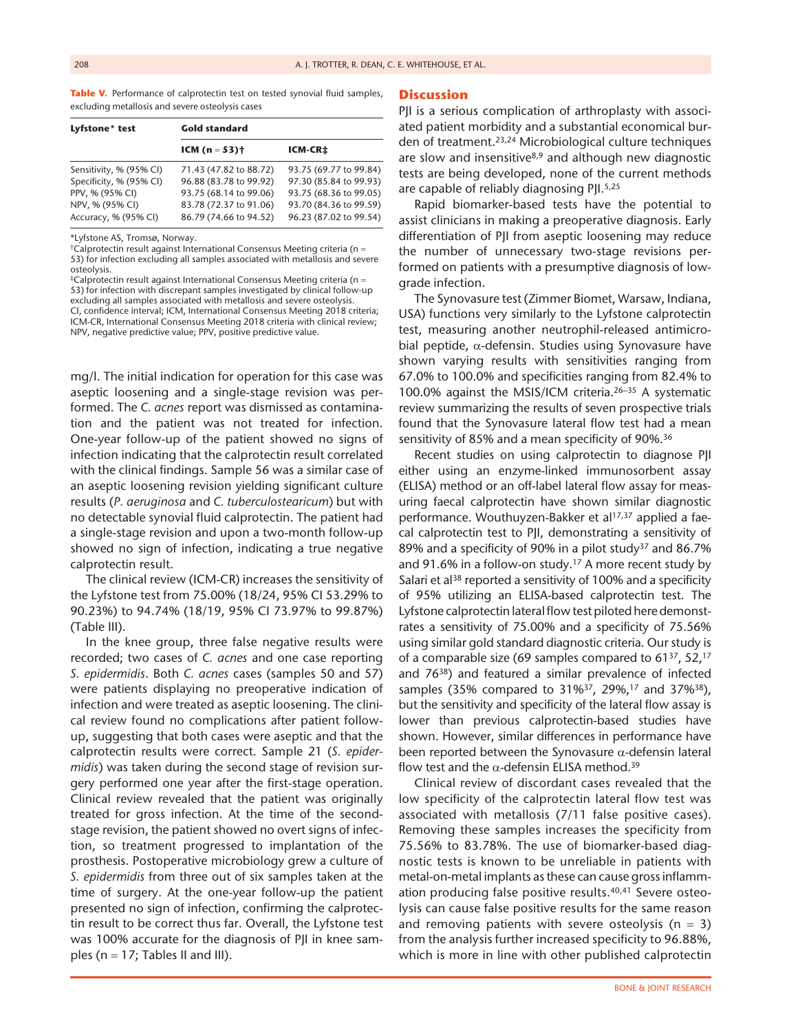**Table V.** Performance of calprotectin test on tested synovial fluid samples. excluding metallosis and severe osteolysis cases

| Lyfstone* test          | <b>Gold standard</b>      |                        |  |  |  |
|-------------------------|---------------------------|------------------------|--|--|--|
|                         | <b>ICM</b> ( $n = 53$ ) † | ICM-CR‡                |  |  |  |
| Sensitivity, % (95% CI) | 71.43 (47.82 to 88.72)    | 93.75 (69.77 to 99.84) |  |  |  |
| Specificity, % (95% CI) | 96.88 (83.78 to 99.92)    | 97.30 (85.84 to 99.93) |  |  |  |
| PPV, % (95% CI)         | 93.75 (68.14 to 99.06)    | 93.75 (68.36 to 99.05) |  |  |  |
| NPV, % (95% CI)         | 83.78 (72.37 to 91.06)    | 93.70 (84.36 to 99.59) |  |  |  |
| Accuracy, % (95% CI)    | 86.79 (74.66 to 94.52)    | 96.23 (87.02 to 99.54) |  |  |  |

\*Lyfstone AS, Tromsø, Norway.

†Calprotectin result against International Consensus Meeting criteria (n = 53) for infection excluding all samples associated with metallosis and severe osteolysis.

‡Calprotectin result against International Consensus Meeting criteria (n = 53) for infection with discrepant samples investigated by clinical follow-up excluding all samples associated with metallosis and severe osteolysis. CI, confidence interval; ICM, International Consensus Meeting 2018 criteria; ICM-CR, International Consensus Meeting 2018 criteria with clinical review; NPV, negative predictive value; PPV, positive predictive value.

mg/l. The initial indication for operation for this case was aseptic loosening and a single-stage revision was performed. The *C. acnes* report was dismissed as contamination and the patient was not treated for infection. One-year follow-up of the patient showed no signs of infection indicating that the calprotectin result correlated with the clinical findings. Sample 56 was a similar case of an aseptic loosening revision yielding significant culture results (*P. aeruginosa* and *C. tuberculostearicum*) but with no detectable synovial fluid calprotectin. The patient had a single-stage revision and upon a two-month follow-up showed no sign of infection, indicating a true negative calprotectin result.

The clinical review (ICM-CR) increases the sensitivity of the Lyfstone test from 75.00% (18/24, 95% CI 53.29% to 90.23%) to 94.74% (18/19, 95% CI 73.97% to 99.87%) (Table III).

In the knee group, three false negative results were recorded; two cases of *C. acnes* and one case reporting *S. epidermidis*. Both *C. acnes* cases (samples 50 and 57) were patients displaying no preoperative indication of infection and were treated as aseptic loosening. The clinical review found no complications after patient followup, suggesting that both cases were aseptic and that the calprotectin results were correct. Sample 21 (*S. epidermidis*) was taken during the second stage of revision surgery performed one year after the first-stage operation. Clinical review revealed that the patient was originally treated for gross infection. At the time of the secondstage revision, the patient showed no overt signs of infection, so treatment progressed to implantation of the prosthesis. Postoperative microbiology grew a culture of *S. epidermidis* from three out of six samples taken at the time of surgery. At the one-year follow-up the patient presented no sign of infection, confirming the calprotectin result to be correct thus far. Overall, the Lyfstone test was 100% accurate for the diagnosis of PJI in knee samples ( $n = 17$ ; Tables II and III).

#### **Discussion**

PJI is a serious complication of arthroplasty with associated patient morbidity and a substantial economical burden of treatment.23,24 Microbiological culture techniques are slow and insensitive<sup>8,9</sup> and although new diagnostic tests are being developed, none of the current methods are capable of reliably diagnosing PJI.<sup>5,25</sup>

Rapid biomarker-based tests have the potential to assist clinicians in making a preoperative diagnosis. Early differentiation of PJI from aseptic loosening may reduce the number of unnecessary two-stage revisions performed on patients with a presumptive diagnosis of lowgrade infection.

The Synovasure test (Zimmer Biomet, Warsaw, Indiana, USA) functions very similarly to the Lyfstone calprotectin test, measuring another neutrophil-released antimicrobial peptide,  $α$ -defensin. Studies using Synovasure have shown varying results with sensitivities ranging from 67.0% to 100.0% and specificities ranging from 82.4% to 100.0% against the MSIS/ICM criteria.26–35 A systematic review summarizing the results of seven prospective trials found that the Synovasure lateral flow test had a mean sensitivity of 85% and a mean specificity of 90%.<sup>36</sup>

Recent studies on using calprotectin to diagnose PJI either using an enzyme-linked immunosorbent assay (ELISA) method or an off-label lateral flow assay for measuring faecal calprotectin have shown similar diagnostic performance. Wouthuyzen-Bakker et al<sup>17,37</sup> applied a faecal calprotectin test to PJI, demonstrating a sensitivity of 89% and a specificity of 90% in a pilot study<sup>37</sup> and 86.7% and 91.6% in a follow-on study.<sup>17</sup> A more recent study by Salari et al<sup>38</sup> reported a sensitivity of 100% and a specificity of 95% utilizing an ELISA-based calprotectin test. The Lyfstone calprotectin lateral flow test piloted here demonstrates a sensitivity of 75.00% and a specificity of 75.56% using similar gold standard diagnostic criteria. Our study is of a comparable size (69 samples compared to  $61^{37}$ ,  $52$ ,  $17$ and 76<sup>38</sup>) and featured a similar prevalence of infected samples (35% compared to 31%<sup>37</sup>, 29%,<sup>17</sup> and 37%<sup>38</sup>), but the sensitivity and specificity of the lateral flow assay is lower than previous calprotectin-based studies have shown. However, similar differences in performance have been reported between the Synovasure  $\alpha$ -defensin lateral flow test and the  $\alpha$ -defensin ELISA method.<sup>39</sup>

Clinical review of discordant cases revealed that the low specificity of the calprotectin lateral flow test was associated with metallosis (7/11 false positive cases). Removing these samples increases the specificity from 75.56% to 83.78%. The use of biomarker-based diagnostic tests is known to be unreliable in patients with metal-on-metal implants as these can cause gross inflammation producing false positive results.<sup>40,41</sup> Severe osteolysis can cause false positive results for the same reason and removing patients with severe osteolysis ( $n = 3$ ) from the analysis further increased specificity to 96.88%, which is more in line with other published calprotectin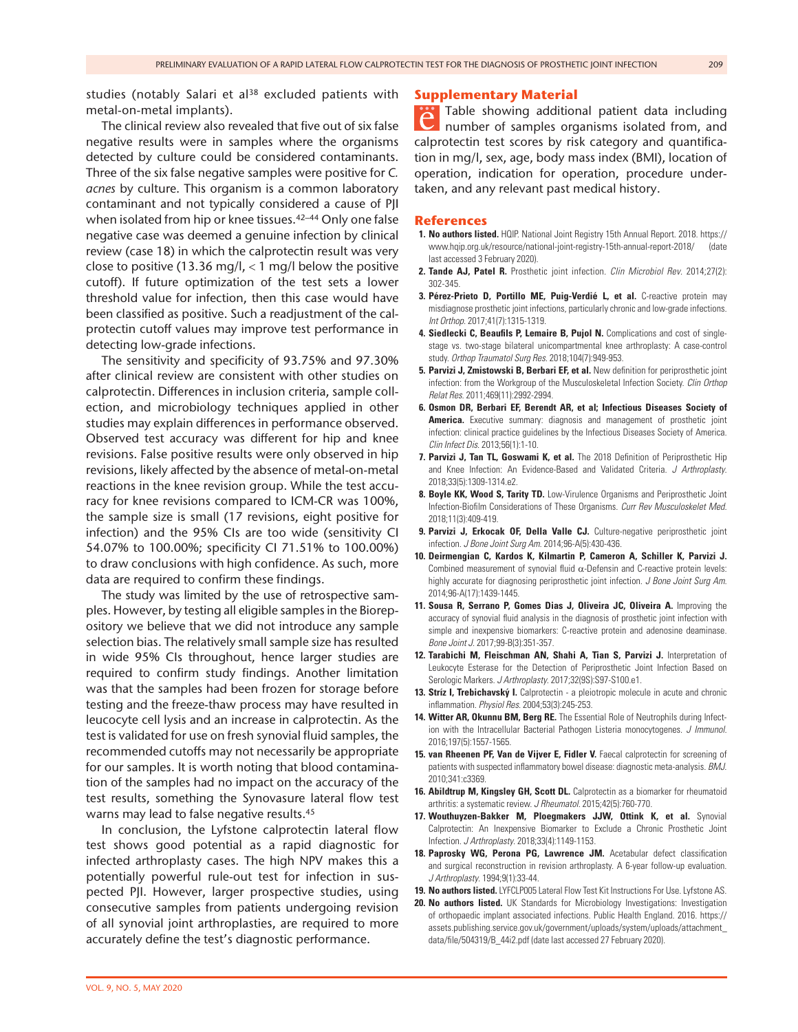studies (notably Salari et al<sup>38</sup> excluded patients with metal-on-metal implants).

The clinical review also revealed that five out of six false negative results were in samples where the organisms detected by culture could be considered contaminants. Three of the six false negative samples were positive for *C. acnes* by culture. This organism is a common laboratory contaminant and not typically considered a cause of PJI when isolated from hip or knee tissues.<sup>42–44</sup> Only one false negative case was deemed a genuine infection by clinical review (case 18) in which the calprotectin result was very close to positive (13.36 mg/l,  $<$  1 mg/l below the positive cutoff). If future optimization of the test sets a lower threshold value for infection, then this case would have been classified as positive. Such a readjustment of the calprotectin cutoff values may improve test performance in detecting low-grade infections.

The sensitivity and specificity of 93.75% and 97.30% after clinical review are consistent with other studies on calprotectin. Differences in inclusion criteria, sample collection, and microbiology techniques applied in other studies may explain differences in performance observed. Observed test accuracy was different for hip and knee revisions. False positive results were only observed in hip revisions, likely affected by the absence of metal-on-metal reactions in the knee revision group. While the test accuracy for knee revisions compared to ICM-CR was 100%, the sample size is small (17 revisions, eight positive for infection) and the 95% CIs are too wide (sensitivity CI 54.07% to 100.00%; specificity CI 71.51% to 100.00%) to draw conclusions with high confidence. As such, more data are required to confirm these findings.

The study was limited by the use of retrospective samples. However, by testing all eligible samples in the Biorepository we believe that we did not introduce any sample selection bias. The relatively small sample size has resulted in wide 95% CIs throughout, hence larger studies are required to confirm study findings. Another limitation was that the samples had been frozen for storage before testing and the freeze-thaw process may have resulted in leucocyte cell lysis and an increase in calprotectin. As the test is validated for use on fresh synovial fluid samples, the recommended cutoffs may not necessarily be appropriate for our samples. It is worth noting that blood contamination of the samples had no impact on the accuracy of the test results, something the Synovasure lateral flow test warns may lead to false negative results.<sup>45</sup>

In conclusion, the Lyfstone calprotectin lateral flow test shows good potential as a rapid diagnostic for infected arthroplasty cases. The high NPV makes this a potentially powerful rule-out test for infection in suspected PJI. However, larger prospective studies, using consecutive samples from patients undergoing revision of all synovial joint arthroplasties, are required to more accurately define the test's diagnostic performance.

## **Supplementary Material**

Table showing additional patient data including number of samples organisms isolated from, and calprotectin test scores by risk category and quantification in mg/l, sex, age, body mass index (BMI), location of operation, indication for operation, procedure undertaken, and any relevant past medical history.

#### **References**

- **1. No authors listed.** HQIP. National Joint Registry 15th Annual Report. 2018. https:// www.hqip.org.uk/resource/national-joint-registry-15th-annual-report-2018/ (date last accessed 3 February 2020).
- **2. Tande AJ, Patel R.** Prosthetic joint infection. *Clin Microbiol Rev*. 2014;27(2): 302-345.
- **3. Pérez-Prieto D, Portillo ME, Puig-Verdié L, et al.** C-reactive protein may misdiagnose prosthetic joint infections, particularly chronic and low-grade infections. *Int Orthop*. 2017;41(7):1315-1319.
- **4. Siedlecki C, Beaufils P, Lemaire B, Pujol N.** Complications and cost of singlestage vs. two-stage bilateral unicompartmental knee arthroplasty: A case-control study. *Orthop Traumatol Surg Res*. 2018;104(7):949-953.
- **5. Parvizi J, Zmistowski B, Berbari EF, et al.** New definition for periprosthetic joint infection: from the Workgroup of the Musculoskeletal Infection Society. *Clin Orthop Relat Res*. 2011;469(11):2992-2994.
- **6. Osmon DR, Berbari EF, Berendt AR, et al; Infectious Diseases Society of**  America. Executive summary: diagnosis and management of prosthetic joint infection: clinical practice guidelines by the Infectious Diseases Society of America. *Clin Infect Dis*. 2013;56(1):1-10.
- **7. Parvizi J, Tan TL, Goswami K, et al.** The 2018 Definition of Periprosthetic Hip and Knee Infection: An Evidence-Based and Validated Criteria. *J Arthroplasty*. 2018;33(5):1309-1314.e2.
- **8. Boyle KK, Wood S, Tarity TD.** Low-Virulence Organisms and Periprosthetic Joint Infection-Biofilm Considerations of These Organisms. *Curr Rev Musculoskelet Med*. 2018;11(3):409-419.
- **9. Parvizi J, Erkocak OF, Della Valle CJ.** Culture-negative periprosthetic joint infection. *J Bone Joint Surg Am*. 2014;96-A(5):430-436.
- **10. Deirmengian C, Kardos K, Kilmartin P, Cameron A, Schiller K, Parvizi J.** Combined measurement of synovial fluid  $\alpha$ -Defensin and C-reactive protein levels: highly accurate for diagnosing periprosthetic joint infection. *J Bone Joint Surg Am*. 2014;96-A(17):1439-1445.
- **11. Sousa R, Serrano P, Gomes Dias J, Oliveira JC, Oliveira A.** Improving the accuracy of synovial fluid analysis in the diagnosis of prosthetic joint infection with simple and inexpensive biomarkers: C-reactive protein and adenosine deaminase. *Bone Joint J*. 2017;99-B(3):351-357.
- **12. Tarabichi M, Fleischman AN, Shahi A, Tian S, Parvizi J.** Interpretation of Leukocyte Esterase for the Detection of Periprosthetic Joint Infection Based on Serologic Markers. *J Arthroplasty*. 2017;32(9S):S97-S100.e1.
- **13. Stríz I, Trebichavský I.** Calprotectin a pleiotropic molecule in acute and chronic inflammation. *Physiol Res*. 2004;53(3):245-253.
- **14. Witter AR, Okunnu BM, Berg RE.** The Essential Role of Neutrophils during Infection with the Intracellular Bacterial Pathogen Listeria monocytogenes. *J Immunol*. 2016;197(5):1557-1565.
- **15. van Rheenen PF, Van de Vijver E, Fidler V.** Faecal calprotectin for screening of patients with suspected inflammatory bowel disease: diagnostic meta-analysis. *BMJ*. 2010;341:c3369.
- **16. Abildtrup M, Kingsley GH, Scott DL.** Calprotectin as a biomarker for rheumatoid arthritis: a systematic review. *J Rheumatol*. 2015;42(5):760-770.
- **17. Wouthuyzen-Bakker M, Ploegmakers JJW, Ottink K, et al.** Synovial Calprotectin: An Inexpensive Biomarker to Exclude a Chronic Prosthetic Joint Infection. *J Arthroplasty*. 2018;33(4):1149-1153.
- **18. Paprosky WG, Perona PG, Lawrence JM.** Acetabular defect classification and surgical reconstruction in revision arthroplasty. A 6-year follow-up evaluation. *J Arthroplasty*. 1994;9(1):33-44.
- **19. No authors listed.** LYFCLP005 Lateral Flow Test Kit Instructions For Use. Lyfstone AS.
- **20. No authors listed.** UK Standards for Microbiology Investigations: Investigation of orthopaedic implant associated infections. Public Health England. 2016. https:// assets.publishing.service.gov.uk/government/uploads/system/uploads/attachment\_ data/file/504319/B\_44i2.pdf (date last accessed 27 February 2020).